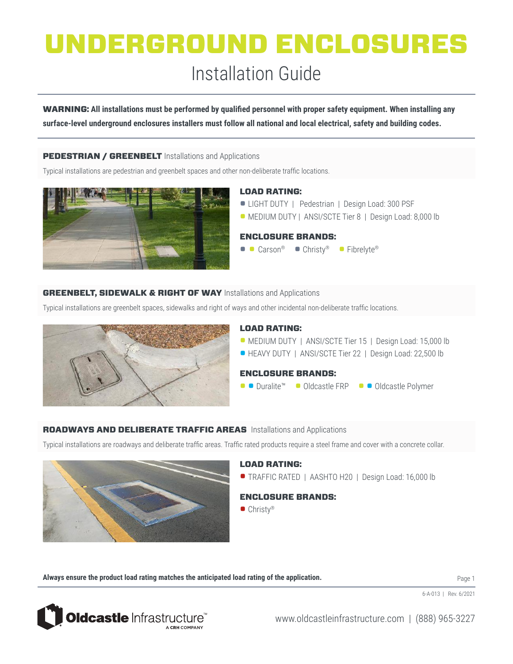### Installation Guide

WARNING: **All installations must be performed by qualified personnel with proper safety equipment. When installing any surface-level underground enclosures installers must follow all national and local electrical, safety and building codes.** 

#### **PEDESTRIAN / GREENBELT** Installations and Applications

Typical installations are pedestrian and greenbelt spaces and other non-deliberate traffic locations.



#### LOAD RATING:

- LIGHT DUTY | Pedestrian | Design Load: 300 PSF
- MEDIUM DUTY | ANSI/SCTE Tier 8 | Design Load: 8,000 lb

#### ENCLOSURE BRANDS:

■ Carson® • Christy® • Fibrelyte®

#### **GREENBELT, SIDEWALK & RIGHT OF WAY** Installations and Applications

Typical installations are greenbelt spaces, sidewalks and right of ways and other incidental non-deliberate traffic locations.



#### LOAD RATING:

- MEDIUM DUTY | ANSI/SCTE Tier 15 | Design Load: 15,000 lb
- HEAVY DUTY | ANSI/SCTE Tier 22 | Design Load: 22,500 lb

#### ENCLOSURE BRANDS:

■ ■ Duralite™ ● Oldcastle FRP ● ● Oldcastle Polymer

#### ROADWAYS AND DELIBERATE TRAFFIC AREAS Installations and Applications

Typical installations are roadways and deliberate traffic areas. Traffic rated products require a steel frame and cover with a concrete collar.



#### LOAD RATING:

• TRAFFIC RATED | AASHTO H20 | Design Load: 16,000 lb

#### ENCLOSURE BRANDS:

 $\bullet$  Christv®

**Always ensure the product load rating matches the anticipated load rating of the application.** 

Page 1



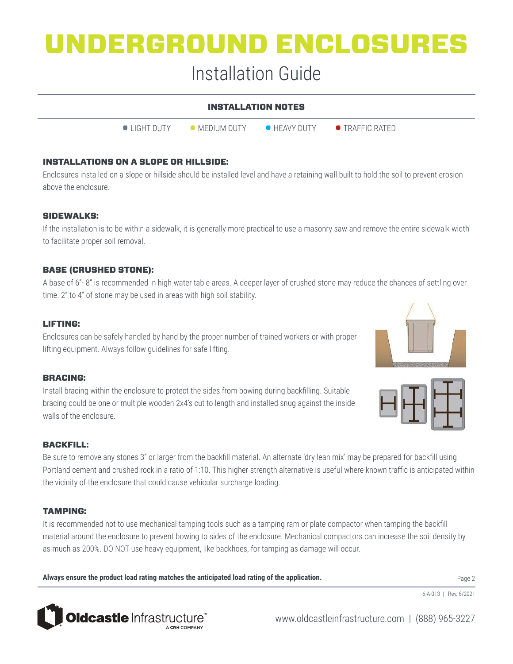### Installation Guide

| <b>INSTALLATION NOTES</b> |                       |                      |                         |
|---------------------------|-----------------------|----------------------|-------------------------|
| $\bullet$ LIGHT DUTY      | $\bullet$ MEDIUM DUTY | $\bullet$ HEAVY DUTY | $\bullet$ TRAFFIC RATFD |

#### INSTALLATIONS ON A SLOPE OR HILLSIDE:

Enclosures installed on a slope or hillside should be installed level and have a retaining wall built to hold the soil to prevent erosion above the enclosure.

#### SIDEWALKS:

If the installation is to be within a sidewalk, it is generally more practical to use a masonry saw and remove the entire sidewalk width to facilitate proper soil removal.

#### BASE (CRUSHED STONE):

A base of 6"- 8" is recommended in high water table areas. A deeper layer of crushed stone may reduce the chances of settling over time. 2" to 4" of stone may be used in areas with high soil stability.

#### LIFTING:

Enclosures can be safely handled by hand by the proper number of trained workers or with proper lifting equipment. Always follow guidelines for safe lifting.

#### BRACING:

Install bracing within the enclosure to protect the sides from bowing during backfilling. Suitable bracing could be one or multiple wooden 2x4's cut to length and installed snug against the inside walls of the enclosure.





#### BACKFILL:

Be sure to remove any stones 3" or larger from the backfill material. An alternate 'dry lean mix' may be prepared for backfill using Portland cement and crushed rock in a ratio of 1:10. This higher strength alternative is useful where known traffic is anticipated within the vicinity of the enclosure that could cause vehicular surcharge loading.

#### TAMPING:

It is recommended not to use mechanical tamping tools such as a tamping ram or plate compactor when tamping the backfill material around the enclosure to prevent bowing to sides of the enclosure. Mechanical compactors can increase the soil density by as much as 200%. DO NOT use heavy equipment, like backhoes, for tamping as damage will occur.

**Always ensure the product load rating matches the anticipated load rating of the application.** 

Page 2

6-A-013 | Rev. 6/2021



www.oldcastleinfrastructure.com | (888) 965-3227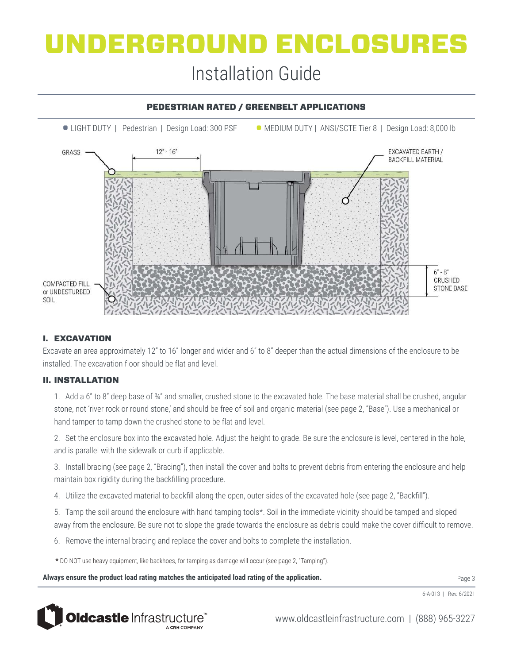## UNDERGROUND ENCLOSURES Installation Guide

### • LIGHT DUTY | Pedestrian | Design Load: 300 PSF • MEDIUM DUTY | ANSI/SCTE Tier 8 | Design Load: 8,000 lb  $12 - 16$ EXCAVATED EARTH / GRASS **BACKFILL MATERIAL**  $6 - 8$ CRUSHED **COMPACTED FILL STONE BASE** or UNDESTURBED SOIL

#### PEDESTRIAN RATED / GREENBELT APPLICATIONS

#### I. EXCAVATION

Excavate an area approximately 12" to 16" longer and wider and 6" to 8" deeper than the actual dimensions of the enclosure to be installed. The excavation floor should be flat and level.

#### II. INSTALLATION

1. Add a 6" to 8" deep base of  $\frac{34}{4}$ " and smaller, crushed stone to the excavated hole. The base material shall be crushed, angular stone, not 'river rock or round stone,' and should be free of soil and organic material (see page 2, "Base"). Use a mechanical or hand tamper to tamp down the crushed stone to be flat and level.

2. Set the enclosure box into the excavated hole. Adjust the height to grade. Be sure the enclosure is level, centered in the hole, and is parallel with the sidewalk or curb if applicable.

3. Install bracing (see page 2, "Bracing"), then install the cover and bolts to prevent debris from entering the enclosure and help maintain box rigidity during the backfilling procedure.

4. Utilize the excavated material to backfill along the open, outer sides of the excavated hole (see page 2, "Backfill").

5. Tamp the soil around the enclosure with hand tamping tools\*. Soil in the immediate vicinity should be tamped and sloped away from the enclosure. Be sure not to slope the grade towards the enclosure as debris could make the cover difficult to remove.

6. Remove the internal bracing and replace the cover and bolts to complete the installation.

**\*** DO NOT use heavy equipment, like backhoes, for tamping as damage will occur (see page 2, "Tamping").

**Always ensure the product load rating matches the anticipated load rating of the application.** 

6-A-013 | Rev. 6/2021



www.oldcastleinfrastructure.com | (888) 965-3227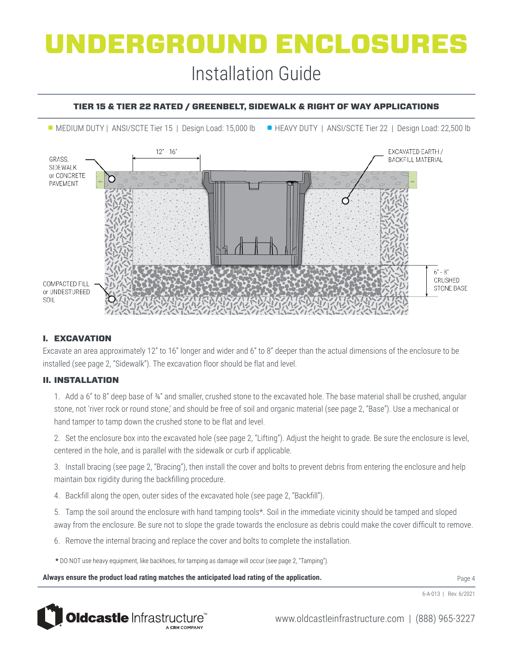# UNDERGROUND ENCLOSURES Installation Guide

#### TIER 15 & TIER 22 RATED / GREENBELT, SIDEWALK & RIGHT OF WAY APPLICATIONS

• MEDIUM DUTY | ANSI/SCTE Tier 15 | Design Load: 15,000 lb • HEAVY DUTY | ANSI/SCTE Tier 22 | Design Load: 22,500 lb



#### I. EXCAVATION

Excavate an area approximately 12" to 16" longer and wider and 6" to 8" deeper than the actual dimensions of the enclosure to be installed (see page 2, "Sidewalk"). The excavation floor should be flat and level.

#### II. INSTALLATION

1. Add a 6" to 8" deep base of  $\frac{34}{4}$ " and smaller, crushed stone to the excavated hole. The base material shall be crushed, angular stone, not 'river rock or round stone,' and should be free of soil and organic material (see page 2, "Base"). Use a mechanical or hand tamper to tamp down the crushed stone to be flat and level.

2. Set the enclosure box into the excavated hole (see page 2, "Lifting"). Adjust the height to grade. Be sure the enclosure is level, centered in the hole, and is parallel with the sidewalk or curb if applicable.

3. Install bracing (see page 2, "Bracing"), then install the cover and bolts to prevent debris from entering the enclosure and help maintain box rigidity during the backfilling procedure.

4. Backfill along the open, outer sides of the excavated hole (see page 2, "Backfill").

5. Tamp the soil around the enclosure with hand tamping tools\*. Soil in the immediate vicinity should be tamped and sloped away from the enclosure. Be sure not to slope the grade towards the enclosure as debris could make the cover difficult to remove.

6. Remove the internal bracing and replace the cover and bolts to complete the installation.

**\*** DO NOT use heavy equipment, like backhoes, for tamping as damage will occur (see page 2, "Tamping").

**Always ensure the product load rating matches the anticipated load rating of the application.** 

6-A-013 | Rev. 6/2021



www.oldcastleinfrastructure.com | (888) 965-3227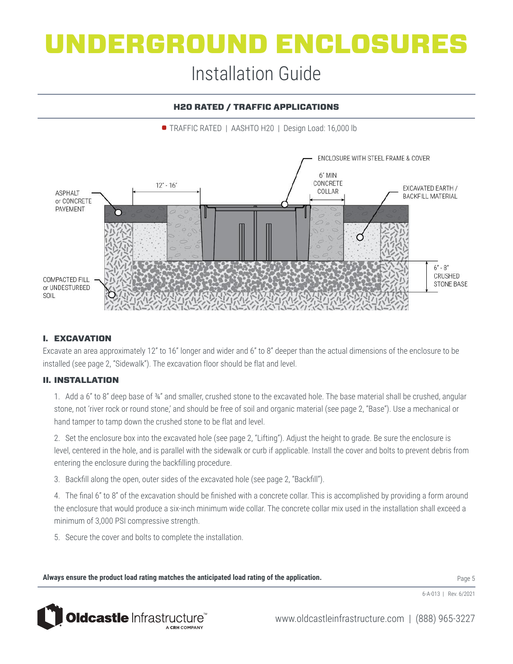### Installation Guide

#### H20 RATED / TRAFFIC APPLICATIONS

• TRAFFIC RATED | AASHTO H20 | Design Load: 16,000 lb



#### I. EXCAVATION

Excavate an area approximately 12" to 16" longer and wider and 6" to 8" deeper than the actual dimensions of the enclosure to be installed (see page 2, "Sidewalk"). The excavation floor should be flat and level.

#### II. INSTALLATION

1. Add a 6" to 8" deep base of ¾" and smaller, crushed stone to the excavated hole. The base material shall be crushed, angular stone, not 'river rock or round stone,' and should be free of soil and organic material (see page 2, "Base"). Use a mechanical or hand tamper to tamp down the crushed stone to be flat and level.

2. Set the enclosure box into the excavated hole (see page 2, "Lifting"). Adjust the height to grade. Be sure the enclosure is level, centered in the hole, and is parallel with the sidewalk or curb if applicable. Install the cover and bolts to prevent debris from entering the enclosure during the backfilling procedure.

3. Backfill along the open, outer sides of the excavated hole (see page 2, "Backfill").

4. The final 6" to 8" of the excavation should be finished with a concrete collar. This is accomplished by providing a form around the enclosure that would produce a six-inch minimum wide collar. The concrete collar mix used in the installation shall exceed a minimum of 3,000 PSI compressive strength.

5. Secure the cover and bolts to complete the installation.

**Always ensure the product load rating matches the anticipated load rating of the application.** 

Page 5